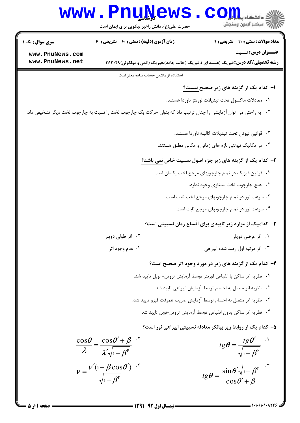

 $= 1.1.11.1.1755$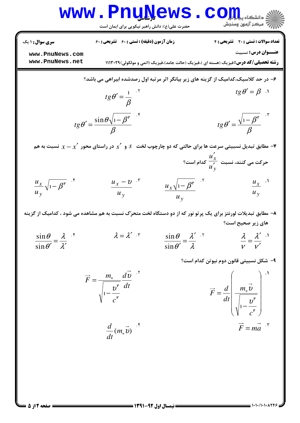## www.Pnu<u>N</u>ews.com

حضرت علی(ع): دانش راهبر نیکویی برای ایمان است

نعداد سوالات : تستي : ٢٠ تشريحي : ٤ زمان آزمون (دقيقه) : تستي : 60 تشريحي : 60 60 سري سوال : 1 يك

**عنـــوان درس:** نسبيت

**[www.PnuNews.com](http://pnunews.com) [www.PnuNews.net](http://www.PnuNews.net)**

**رشته تحصیلی/کد درس:**فیزیک (هسته ای )،فیزیک (حالت جامد)،فیزیک (اتمی و مولکولی)۲۹-۱۱۱۳

9- در صد کلاسیک، کدامیک از گزینه های زیر بیانگر اثر مرتبه اول رصدشده ابیراهی می باشد? یا  
\n
$$
tg\theta' = \frac{1}{\beta}
$$
\n

\n1

\n1

\n1

\n1

\n1

\n1

\n1

\n1

\n1

\n1

\n2

\n3

\n4

\n4

\n5

\n6

\n1

\n1

\n2

\n3

\n4

\n5

\n6

\n1

\n1

\n2

\n3

\n4

\n5

\n6

\n6

\n7

\n1

\n2

\n3

\n4

\n5

\n6

\n6

\n7

\n8

\n9

\n1

\n1

\n1

\n2

\n3

\n4

\n5

\n6

\n6

\n7

\n8

\n9

\n1

\n1

\n1

\n1

\n1

\n1

\n1

\n1

\n1

\n2

\n3

\n4

\n5

\n6

\n6

\n7

\n8

\n9

\n1

\n1

\n1

\n1

\n1

\n1

\n1

\n2

\n3

\n4

\n5

\n6

\n6

\n7

\n8

\n9

\n1

\n1

\n1

\n1

\n2

\n3

\n4

\n5

\n6

در راستای محور  $\propto x-x^2$  نسبت به هم  $\propto$  $u'_x$ **Y** -

$$
\frac{u_x}{u_y} \sqrt{1 - \beta^{\mathfrak{p}}} \quad .^{\mathfrak{f}}
$$
\n
$$
\frac{u_x - v}{u_y} \quad .^{\mathfrak{r}}
$$
\n
$$
\frac{u_x \sqrt{1 - \beta^{\mathfrak{p}}}}{u_y} \quad .^{\mathfrak{r}}
$$
\n
$$
\frac{u_x \sqrt{1 - \beta^{\mathfrak{p}}}}{u_y} \quad .^{\mathfrak{r}}
$$
\n
$$
\frac{u_x}{u_y} \quad .^{\mathfrak{p}}
$$

۸– مطابق تبدیلات لورنتز برای یک پرتو نور که از دو دستگاه لخت متحرّک نسبت به هم مشاهده می شود ، کدامیک از گزینه های زیر صحیح است؟

ν λ ν λ ′ ′ = λ λ θ  $\theta$   $\lambda'$ =  $\sin \theta'$  $\lambda = \lambda'$  sin λ λ θ θ ′ =  $\sin \theta'$ sin  $\lambda = \lambda'$   $\mathbf{r}$   $\sin \theta$   $\lambda'$   $\mathbf{r}$   $\lambda$   $\lambda'$   $\mathbf{r}$ 

۹– شکل نسبیتی قانون دوم نیوتن کدام است؟

$$
\vec{F} = \frac{m_{\circ}}{\sqrt{1 - \frac{v^{\circ}}{c^{r}} dt}} \vec{dt}
$$
\n
$$
\vec{F} = \frac{d}{dt} \left( \frac{m_{\circ} \vec{v}}{\sqrt{1 - \frac{v^{\circ}}{c^{r}}}} \right)^{-1}
$$
\n
$$
\frac{d}{dt} (m_{\circ} \vec{v})^{-5}
$$
\n
$$
\vec{F} = m\vec{a}^{-5}
$$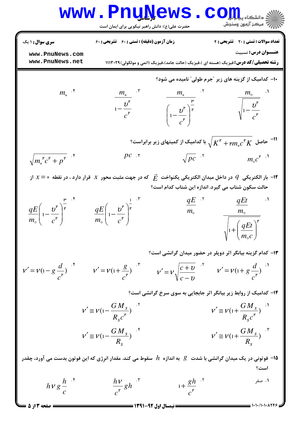| WWW                   | ■                     | ■                     | ■                     | ■                     |                       |                       |                       |                       |                       |                       |                       |                       |                       |                       |                       |                       |                       |                       |                       |                       |                       |                       |                       |                       |                       |                       |                       |                       |                       |                       |                       |                       |                       |                       |                   |
|-----------------------|-----------------------|-----------------------|-----------------------|-----------------------|-----------------------|-----------------------|-----------------------|-----------------------|-----------------------|-----------------------|-----------------------|-----------------------|-----------------------|-----------------------|-----------------------|-----------------------|-----------------------|-----------------------|-----------------------|-----------------------|-----------------------|-----------------------|-----------------------|-----------------------|-----------------------|-----------------------|-----------------------|-----------------------|-----------------------|-----------------------|-----------------------|-----------------------|-----------------------|-----------------------|-------------------|
| \n\n $\frac{1}{2}$ \n | \n\n $\frac{1}{2}$ \n | \n\n $\frac{1}{2}$ \n | \n\n $\frac{1}{2}$ \n | \n\n $\frac{1}{2}$ \n | \n\n $\frac{1}{2}$ \n | \n\n $\frac{1}{2}$ \n | \n\n $\frac{1}{2}$ \n | \n\n $\frac{1}{2}$ \n | \n\n $\frac{1}{2}$ \n | \n\n $\frac{1}{2}$ \n | \n\n $\frac{1}{2}$ \n | \n\n $\frac{1}{2}$ \n | \n\n $\frac{1}{2}$ \n | \n\n $\frac{1}{2}$ \n | \n\n $\frac{1}{2}$ \n | \n\n $\frac{1}{2}$ \n | \n\n $\frac{1}{2}$ \n | \n\n $\frac{1}{2}$ \n | \n\n $\frac{1}{2}$ \n | \n\n $\frac{1}{2}$ \n | \n\n $\frac{1}{2}$ \n | \n\n $\frac{1}{2}$ \n | \n\n $\frac{1}{2}$ \n | \n\n $\frac{1}{2}$ \n | \n\n $\frac{1}{2}$ \n | \n\n $\frac{1}{2}$ \n | \n\n $\frac{1}{2}$ \n | \n\n $\frac{1}{2}$ \n | \n\n $\frac{1}{2}$ \n | \n\n $\frac{1}{2}$ \n | \n\n $\frac{1}{2}$ \n | \n\n $\frac{1}{2}$ \n | \n\n $\frac{1}{2}$ \n | \n\n $\frac{1}{2}$ \n | \n\n $\frac{1}{2$ |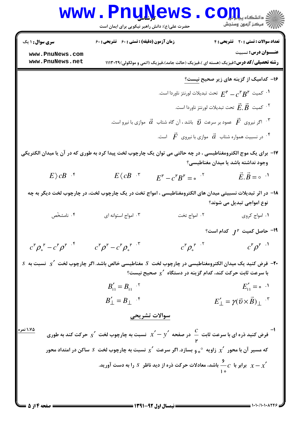|                                                                                                                                        | www.PnuNews<br>حضرت علی(ع): دانش راهبر نیکویی برای ایمان است                |                                                  | الاد دانشکاه پیام <mark>کر</mark> ان<br>الا مرکز آزمون وسنجش                                                                                                                       |
|----------------------------------------------------------------------------------------------------------------------------------------|-----------------------------------------------------------------------------|--------------------------------------------------|------------------------------------------------------------------------------------------------------------------------------------------------------------------------------------|
| <b>سری سوال : ۱ یک</b>                                                                                                                 | زمان آزمون (دقیقه) : تستی : 60 ٪ تشریحی : 60                                |                                                  | تعداد سوالات : تستى : 20 - تشريحي : 4                                                                                                                                              |
| www.PnuNews.com<br>www.PnuNews.net                                                                                                     |                                                                             |                                                  | عنــوان درس: نسبيت<br><b>رشته تحصیلی/کد درس:</b> فیزیک (هسته ای )،فیزیک (حالت جامد)،فیزیک (اتمی و مولکولی)۲۹-۱۱۱۳                                                                  |
|                                                                                                                                        |                                                                             |                                                  | ۱۶- کدامیک از گزینه های زیر صحیح <u>نیست؟</u>                                                                                                                                      |
|                                                                                                                                        |                                                                             |                                                  | تحت تبدیلات لورنتز ناوردا است. $E^{\mathsf{F}} - c^{\mathsf{F}}B^{\mathsf{F}}$ کمیت $\cdot^\mathsf{t}$                                                                             |
|                                                                                                                                        |                                                                             |                                                  | د كميت $\vec{E}.\vec{B}$ تحت تبديلات لورنتز ناوردا است. $\vec{F}$                                                                                                                  |
|                                                                                                                                        |                                                                             |                                                  | اگر نیروی $\vec{F}$ عمود بر سرعت $\vec{v}$ باشد ، آن گاه شتاب $\vec{a}$ موازی با نیرو است. $^{\mathrm{r}}$                                                                         |
|                                                                                                                                        |                                                                             |                                                  | در نسبیت همواره شتاب $\vec{a}$ موازی با نیروی $\vec{F}$ است. $^*$                                                                                                                  |
|                                                                                                                                        |                                                                             |                                                  | ۱۷– برای یک موج الکترومغناطیسی ، در چه حالتی می توان یک چارچوب لخت پیدا کرد به طوری که در آن یا میدان الکتریکی<br>وجود نداشته باشد یا میدان مغناطیسی؟                              |
| $E \rangle cB$ .*                                                                                                                      | $E\langle\, cB^{-,\,\intercal}\,$                                           | $E^{\nu} - c^{\nu} B^{\nu} = \cdot$ <sup>1</sup> | $\vec{E} \cdot \vec{B} = 0$ <sup>.1</sup>                                                                                                                                          |
| ۱۸– در اثر تبدیلات نسبیتی میدان های الکترومغناطیسی ، امواج تخت در یک چارچوب لخت، در چارچوب لخت دیگر به چه<br>نوع امواجي تبديل مي شوند؟ |                                                                             |                                                  |                                                                                                                                                                                    |
| ۰۴ نامشخّص                                                                                                                             | ۰۳ امواج استوانه ای                                                         | ۰۲ امواج تخت                                     | ٠١. امواج کروی                                                                                                                                                                     |
|                                                                                                                                        |                                                                             |                                                  | - حاصل کمیت $J^{\mu}$ کدام است؟                                                                                                                                                    |
| $c^{\mathsf{P}} \rho_{\circ}^{\mathsf{P}} - c^{\mathsf{P}} \rho^{\mathsf{P}}$                                                          | $c^{\mathsf{p}}\rho^{\mathsf{p}}-c^{\mathsf{p}}\rho_{\circ}^{\mathsf{p}}$ . | $c^{\mathsf{P}}\rho_{\circ}^{\mathsf{P}}$ .      | $c^{\mathsf{p}}\rho^{\mathsf{p}}$ <sup>.1</sup>                                                                                                                                    |
|                                                                                                                                        |                                                                             |                                                  | $S$ فرض کنید یک میدان الکترومغناطیسی در چارچوب لخت $S$ مغناطیسی خالص باشد. اگر چارچوب لخت $\zeta'$ نسبت به $F$<br>با سرعت ثابت حرکت کند، کدام گزینه در دستگاه $\sigma'$ صحیح نیست؟ |
|                                                                                                                                        | $B'_{11} = B_{11}$ . <sup>7</sup>                                           |                                                  | $E'_{11} = \circ \cdot \cdot$ <sup>1</sup>                                                                                                                                         |
|                                                                                                                                        | $B'_{\perp} = B_{\perp}$ $\cdot$ <sup>*</sup>                               |                                                  | $E'_{\perp} = \gamma(\vec{v} \times \vec{B})_{\perp}$ "                                                                                                                            |
|                                                                                                                                        | سوالات تشريحي                                                               |                                                  |                                                                                                                                                                                    |
| ۱،۷۵ نمره<br>ون کنید ذره ای با سرعت ثابت $c\atop -\infty$ در صفحه $x'-y'-x$ نسبت به چارچوب لخت $s'$ حرکت کند به طوری $^{-}$            |                                                                             |                                                  |                                                                                                                                                                                    |
| که مسیر آن با محور $\chi'$ زاویه $_\circ$ ه بسازد. اگر سرعت $_\circ'$ نسبت به چارچوب لخت $s$ ساکن در امتداد محور $\chi'$               |                                                                             |                                                  |                                                                                                                                                                                    |
| برابر با $-c$ باشد، معادلات حرکت ذره از دید ناظر $s$ را به دست آورید. $x - x'$                                                         |                                                                             |                                                  |                                                                                                                                                                                    |
|                                                                                                                                        |                                                                             |                                                  |                                                                                                                                                                                    |

 $= 1.1.11.1.1175$